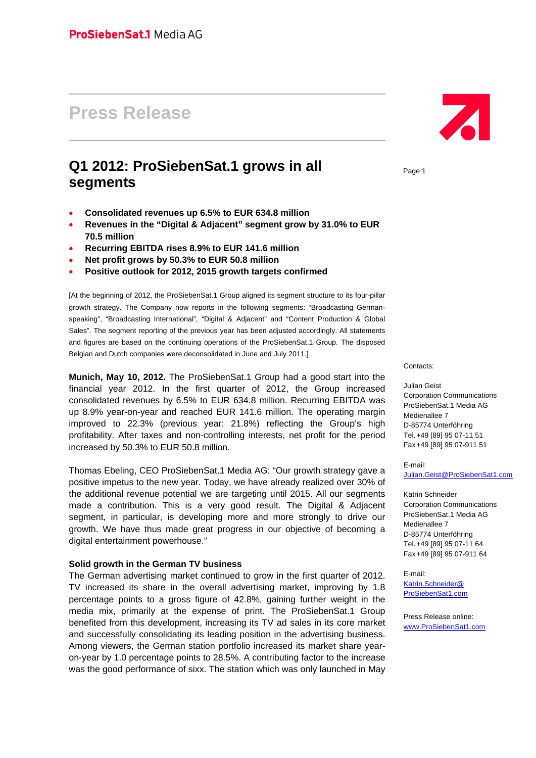# **Press Release**

# **Q1 2012: ProSiebenSat.1 grows in all segments**

- **Consolidated revenues up 6.5% to EUR 634.8 million**
- **Revenues in the "Digital & Adjacent" segment grow by 31.0% to EUR 70.5 million**
- **Recurring EBITDA rises 8.9% to EUR 141.6 million**
- **Net profit grows by 50.3% to EUR 50.8 million**
- **Positive outlook for 2012, 2015 growth targets confirmed**

[At the beginning of 2012, the ProSiebenSat.1 Group aligned its segment structure to its four-pillar growth strategy. The Company now reports in the following segments: "Broadcasting Germanspeaking", "Broadcasting International", "Digital & Adjacent" and "Content Production & Global Sales". The segment reporting of the previous year has been adjusted accordingly. All statements and figures are based on the continuing operations of the ProSiebenSat.1 Group. The disposed Belgian and Dutch companies were deconsolidated in June and July 2011.]

**Munich, May 10, 2012.** The ProSiebenSat.1 Group had a good start into the financial year 2012. In the first quarter of 2012, the Group increased consolidated revenues by 6.5% to EUR 634.8 million. Recurring EBITDA was up 8.9% year-on-year and reached EUR 141.6 million. The operating margin improved to 22.3% (previous year: 21.8%) reflecting the Group's high profitability. After taxes and non-controlling interests, net profit for the period increased by 50.3% to EUR 50.8 million.

Thomas Ebeling, CEO ProSiebenSat.1 Media AG: "Our growth strategy gave a positive impetus to the new year. Today, we have already realized over 30% of the additional revenue potential we are targeting until 2015. All our segments made a contribution. This is a very good result. The Digital & Adjacent segment, in particular, is developing more and more strongly to drive our growth. We have thus made great progress in our objective of becoming a digital entertainment powerhouse."

#### **Solid growth in the German TV business**

The German advertising market continued to grow in the first quarter of 2012. TV increased its share in the overall advertising market, improving by 1.8 percentage points to a gross figure of 42.8%, gaining further weight in the media mix, primarily at the expense of print. The ProSiebenSat.1 Group benefited from this development, increasing its TV ad sales in its core market and successfully consolidating its leading position in the advertising business. Among viewers, the German station portfolio increased its market share yearon-year by 1.0 percentage points to 28.5%. A contributing factor to the increase was the good performance of sixx. The station which was only launched in May



Page 1

Contacts:

#### Julian Geist

Corporation Communications ProSiebenSat.1 Media AG Medienallee 7 D-85774 Unterföhring Tel. +49 [89] 95 07-11 51 Fax +49 [89] 95 07-911 51

E-mail: Julian.Geist@ProSiebenSat1.com

Katrin Schneider Corporation Communications ProSiebenSat.1 Media AG Medienallee 7 D-85774 Unterföhring Tel. +49 [89] 95 07-11 64 Fax +49 [89] 95 07-911 64

E-mail: Katrin.Schneider@ ProSiebenSat1.com

Press Release online: www.ProSiebenSat1.com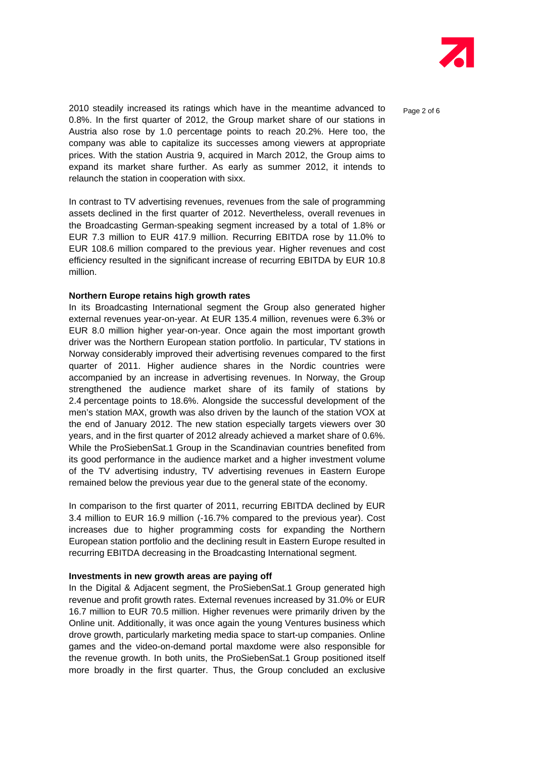

2010 steadily increased its ratings which have in the meantime advanced to  $P_{\text{aq}}$   $\geq$  of 6 0.8%. In the first quarter of 2012, the Group market share of our stations in Austria also rose by 1.0 percentage points to reach 20.2%. Here too, the company was able to capitalize its successes among viewers at appropriate prices. With the station Austria 9, acquired in March 2012, the Group aims to expand its market share further. As early as summer 2012, it intends to relaunch the station in cooperation with sixx.

In contrast to TV advertising revenues, revenues from the sale of programming assets declined in the first quarter of 2012. Nevertheless, overall revenues in the Broadcasting German-speaking segment increased by a total of 1.8% or EUR 7.3 million to EUR 417.9 million. Recurring EBITDA rose by 11.0% to EUR 108.6 million compared to the previous year. Higher revenues and cost efficiency resulted in the significant increase of recurring EBITDA by EUR 10.8 million.

#### **Northern Europe retains high growth rates**

In its Broadcasting International segment the Group also generated higher external revenues year-on-year. At EUR 135.4 million, revenues were 6.3% or EUR 8.0 million higher year-on-year. Once again the most important growth driver was the Northern European station portfolio. In particular, TV stations in Norway considerably improved their advertising revenues compared to the first quarter of 2011. Higher audience shares in the Nordic countries were accompanied by an increase in advertising revenues. In Norway, the Group strengthened the audience market share of its family of stations by 2.4 percentage points to 18.6%. Alongside the successful development of the men's station MAX, growth was also driven by the launch of the station VOX at the end of January 2012. The new station especially targets viewers over 30 years, and in the first quarter of 2012 already achieved a market share of 0.6%. While the ProSiebenSat.1 Group in the Scandinavian countries benefited from its good performance in the audience market and a higher investment volume of the TV advertising industry, TV advertising revenues in Eastern Europe remained below the previous year due to the general state of the economy.

In comparison to the first quarter of 2011, recurring EBITDA declined by EUR 3.4 million to EUR 16.9 million (-16.7% compared to the previous year). Cost increases due to higher programming costs for expanding the Northern European station portfolio and the declining result in Eastern Europe resulted in recurring EBITDA decreasing in the Broadcasting International segment.

## **Investments in new growth areas are paying off**

In the Digital & Adjacent segment, the ProSiebenSat.1 Group generated high revenue and profit growth rates. External revenues increased by 31.0% or EUR 16.7 million to EUR 70.5 million. Higher revenues were primarily driven by the Online unit. Additionally, it was once again the young Ventures business which drove growth, particularly marketing media space to start-up companies. Online games and the video-on-demand portal maxdome were also responsible for the revenue growth. In both units, the ProSiebenSat.1 Group positioned itself more broadly in the first quarter. Thus, the Group concluded an exclusive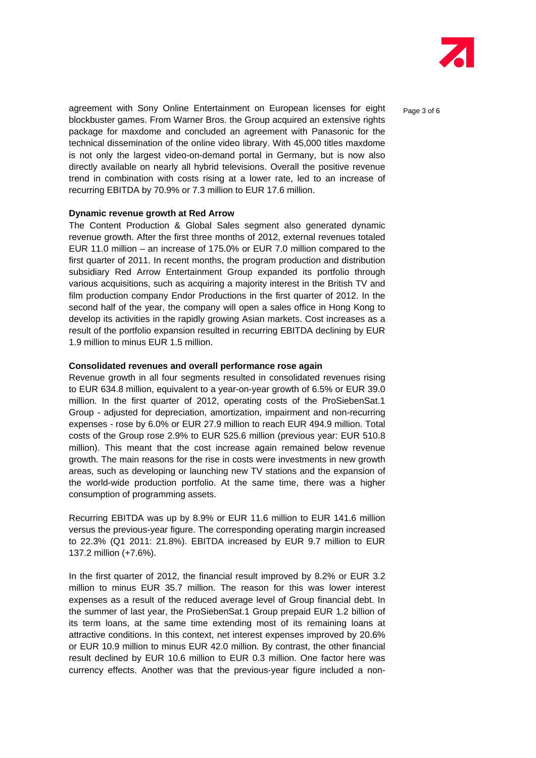

agreement with Sony Online Entertainment on European licenses for eight  $P_{\text{a}ae 3 of 6}$ blockbuster games. From Warner Bros. the Group acquired an extensive rights package for maxdome and concluded an agreement with Panasonic for the technical dissemination of the online video library. With 45,000 titles maxdome is not only the largest video-on-demand portal in Germany, but is now also directly available on nearly all hybrid televisions. Overall the positive revenue trend in combination with costs rising at a lower rate, led to an increase of recurring EBITDA by 70.9% or 7.3 million to EUR 17.6 million.

#### **Dynamic revenue growth at Red Arrow**

The Content Production & Global Sales segment also generated dynamic revenue growth. After the first three months of 2012, external revenues totaled EUR 11.0 million – an increase of 175.0% or EUR 7.0 million compared to the first quarter of 2011. In recent months, the program production and distribution subsidiary Red Arrow Entertainment Group expanded its portfolio through various acquisitions, such as acquiring a majority interest in the British TV and film production company Endor Productions in the first quarter of 2012. In the second half of the year, the company will open a sales office in Hong Kong to develop its activities in the rapidly growing Asian markets. Cost increases as a result of the portfolio expansion resulted in recurring EBITDA declining by EUR 1.9 million to minus EUR 1.5 million.

#### **Consolidated revenues and overall performance rose again**

Revenue growth in all four segments resulted in consolidated revenues rising to EUR 634.8 million, equivalent to a year-on-year growth of 6.5% or EUR 39.0 million. In the first quarter of 2012, operating costs of the ProSiebenSat.1 Group - adjusted for depreciation, amortization, impairment and non-recurring expenses - rose by 6.0% or EUR 27.9 million to reach EUR 494.9 million. Total costs of the Group rose 2.9% to EUR 525.6 million (previous year: EUR 510.8 million). This meant that the cost increase again remained below revenue growth. The main reasons for the rise in costs were investments in new growth areas, such as developing or launching new TV stations and the expansion of the world-wide production portfolio. At the same time, there was a higher consumption of programming assets.

Recurring EBITDA was up by 8.9% or EUR 11.6 million to EUR 141.6 million versus the previous-year figure. The corresponding operating margin increased to 22.3% (Q1 2011: 21.8%). EBITDA increased by EUR 9.7 million to EUR 137.2 million (+7.6%).

In the first quarter of 2012, the financial result improved by 8.2% or EUR 3.2 million to minus EUR 35.7 million. The reason for this was lower interest expenses as a result of the reduced average level of Group financial debt. In the summer of last year, the ProSiebenSat.1 Group prepaid EUR 1.2 billion of its term loans, at the same time extending most of its remaining loans at attractive conditions. In this context, net interest expenses improved by 20.6% or EUR 10.9 million to minus EUR 42.0 million. By contrast, the other financial result declined by EUR 10.6 million to EUR 0.3 million. One factor here was currency effects. Another was that the previous-year figure included a non-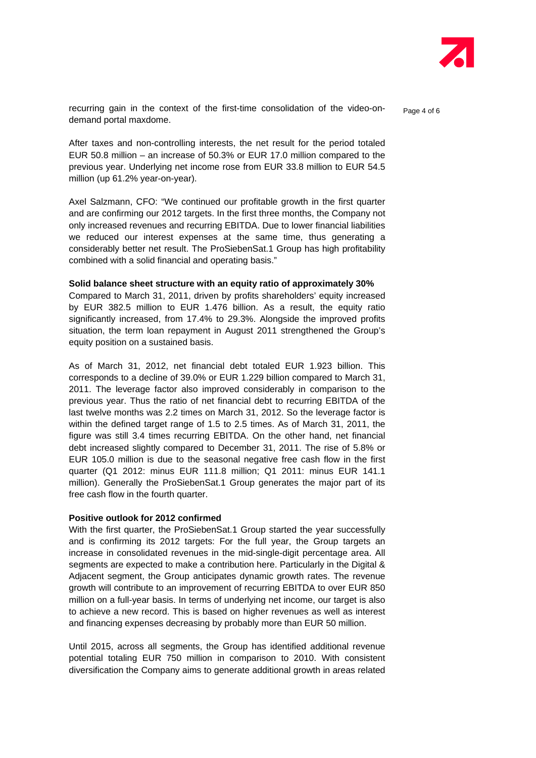

recurring gain in the context of the first-time consolidation of the video-ondemand portal maxdome.

After taxes and non-controlling interests, the net result for the period totaled EUR 50.8 million – an increase of 50.3% or EUR 17.0 million compared to the previous year. Underlying net income rose from EUR 33.8 million to EUR 54.5 million (up 61.2% year-on-year).

Axel Salzmann, CFO: "We continued our profitable growth in the first quarter and are confirming our 2012 targets. In the first three months, the Company not only increased revenues and recurring EBITDA. Due to lower financial liabilities we reduced our interest expenses at the same time, thus generating a considerably better net result. The ProSiebenSat.1 Group has high profitability combined with a solid financial and operating basis."

#### **Solid balance sheet structure with an equity ratio of approximately 30%**

Compared to March 31, 2011, driven by profits shareholders' equity increased by EUR 382.5 million to EUR 1.476 billion. As a result, the equity ratio significantly increased, from 17.4% to 29.3%. Alongside the improved profits situation, the term loan repayment in August 2011 strengthened the Group's equity position on a sustained basis.

As of March 31, 2012, net financial debt totaled EUR 1.923 billion. This corresponds to a decline of 39.0% or EUR 1.229 billion compared to March 31, 2011. The leverage factor also improved considerably in comparison to the previous year. Thus the ratio of net financial debt to recurring EBITDA of the last twelve months was 2.2 times on March 31, 2012. So the leverage factor is within the defined target range of 1.5 to 2.5 times. As of March 31, 2011, the figure was still 3.4 times recurring EBITDA. On the other hand, net financial debt increased slightly compared to December 31, 2011. The rise of 5.8% or EUR 105.0 million is due to the seasonal negative free cash flow in the first quarter (Q1 2012: minus EUR 111.8 million; Q1 2011: minus EUR 141.1 million). Generally the ProSiebenSat.1 Group generates the major part of its free cash flow in the fourth quarter.

## **Positive outlook for 2012 confirmed**

With the first quarter, the ProSiebenSat.1 Group started the year successfully and is confirming its 2012 targets: For the full year, the Group targets an increase in consolidated revenues in the mid-single-digit percentage area. All segments are expected to make a contribution here. Particularly in the Digital & Adjacent segment, the Group anticipates dynamic growth rates. The revenue growth will contribute to an improvement of recurring EBITDA to over EUR 850 million on a full-year basis. In terms of underlying net income, our target is also to achieve a new record. This is based on higher revenues as well as interest and financing expenses decreasing by probably more than EUR 50 million.

Until 2015, across all segments, the Group has identified additional revenue potential totaling EUR 750 million in comparison to 2010. With consistent diversification the Company aims to generate additional growth in areas related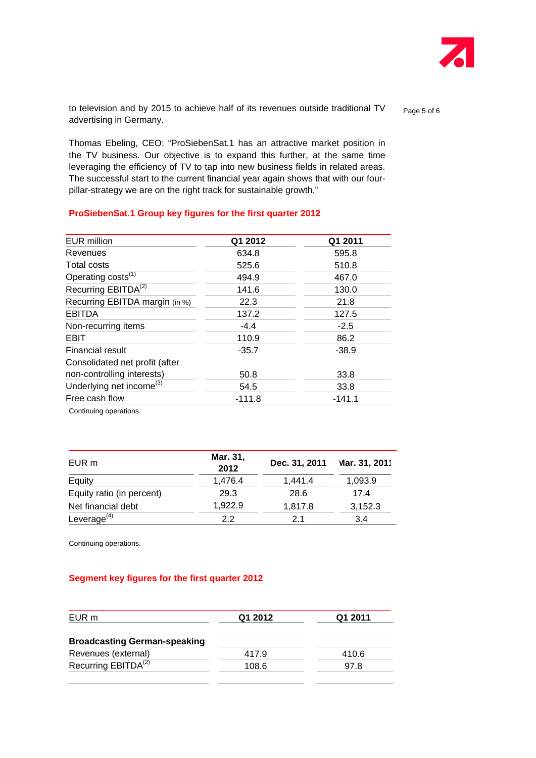

to television and by 2015 to achieve half of its revenues outside traditional TV  $_{\text{Page 5 of 6}}$ advertising in Germany.

Thomas Ebeling, CEO: "ProSiebenSat.1 has an attractive market position in the TV business. Our objective is to expand this further, at the same time leveraging the efficiency of TV to tap into new business fields in related areas. The successful start to the current financial year again shows that with our fourpillar-strategy we are on the right track for sustainable growth."

| <b>EUR</b> million                   | Q1 2012  | Q1 2011  |
|--------------------------------------|----------|----------|
| Revenues                             | 634.8    | 595.8    |
| Total costs                          | 525.6    | 510.8    |
| Operating costs <sup>(1)</sup>       | 494.9    | 467.0    |
| Recurring EBITDA <sup>(2)</sup>      | 141.6    | 130.0    |
| Recurring EBITDA margin (in %)       | 22.3     | 21.8     |
| <b>EBITDA</b>                        | 137.2    | 127.5    |
| Non-recurring items                  | $-4.4$   | $-2.5$   |
| <b>EBIT</b>                          | 110.9    | 86.2     |
| Financial result                     | $-35.7$  | $-38.9$  |
| Consolidated net profit (after       |          |          |
| non-controlling interests)           | 50.8     | 33.8     |
| Underlying net income <sup>(3)</sup> | 54.5     | 33.8     |
| Free cash flow                       | $-111.8$ | $-141.1$ |

#### **ProSiebenSat.1 Group key figures for the first quarter 2012**

Continuing operations.

| EUR m                     | Mar. 31,<br>2012 | Dec. 31, 2011 | Vlar. 31, 2011 |
|---------------------------|------------------|---------------|----------------|
| Equity                    | 1,476.4          | 1,441.4       | 1,093.9        |
| Equity ratio (in percent) | 29.3             | 28.6          | 17.4           |
| Net financial debt        | 1.922.9          | 1,817.8       | 3,152.3        |
| Leverage $(4)$            | 22               | 21            | 3.4            |

Continuing operations.

# **Segment key figures for the first quarter 2012**

| EUR m                               | Q1 2012 | Q1 2011 |
|-------------------------------------|---------|---------|
| <b>Broadcasting German-speaking</b> |         |         |
| Revenues (external)                 | 417.9   | 410.6   |
| Recurring EBITDA <sup>(2)</sup>     | 108.6   | 97.8    |